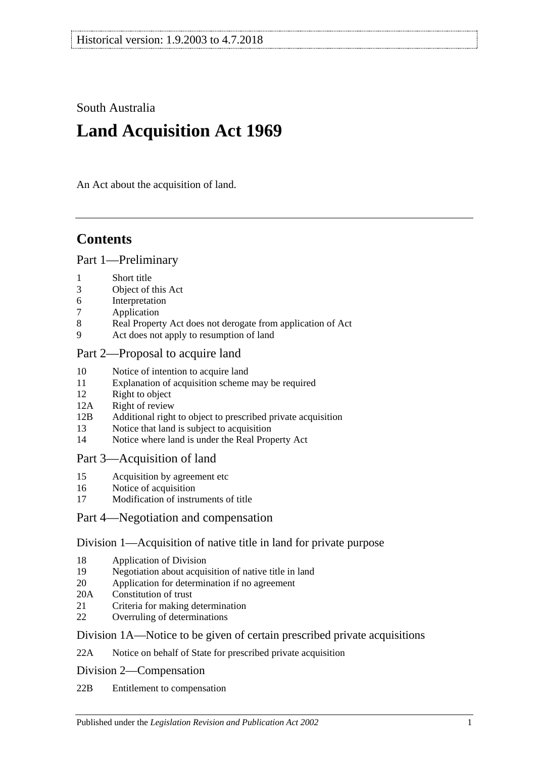South Australia

# **Land Acquisition Act 1969**

An Act about the acquisition of land.

# **Contents**

#### [Part 1—Preliminary](#page-1-0)

- 1 [Short title](#page-1-1)
- 3 [Object of this Act](#page-1-2)
- 6 [Interpretation](#page-1-3)
- 7 [Application](#page-3-0)
- 8 [Real Property Act does not derogate from application of Act](#page-3-1)
- 9 [Act does not apply to resumption of land](#page-3-2)

## [Part 2—Proposal to acquire land](#page-3-3)

- 10 [Notice of intention to acquire land](#page-3-4)
- 11 [Explanation of acquisition scheme may be required](#page-5-0)
- 12 [Right to object](#page-5-1)
- 12A [Right of review](#page-6-0)
- 12B Additional right to object [to prescribed private acquisition](#page-7-0)
- 13 [Notice that land is subject to acquisition](#page-8-0)
- 14 [Notice where land is under the Real Property Act](#page-8-1)

## [Part 3—Acquisition of land](#page-9-0)

- 15 [Acquisition by agreement etc](#page-9-1)
- 16 [Notice of acquisition](#page-10-0)
- 17 [Modification of instruments of title](#page-11-0)

## [Part 4—Negotiation and compensation](#page-12-0)

## [Division 1—Acquisition of native title in land for private purpose](#page-12-1)

- 18 [Application of Division](#page-12-2)
- 19 [Negotiation about acquisition of native title in land](#page-12-3)
- 20 [Application for determination if no agreement](#page-13-0)
- 20A [Constitution of trust](#page-13-1)
- 21 [Criteria for making determination](#page-14-0)
- 22 [Overruling of determinations](#page-15-0)

## [Division 1A—Notice to be given of certain prescribed private acquisitions](#page-15-1)

22A [Notice on behalf of State for prescribed private acquisition](#page-15-2)

[Division 2—Compensation](#page-16-0)

22B [Entitlement to compensation](#page-16-1)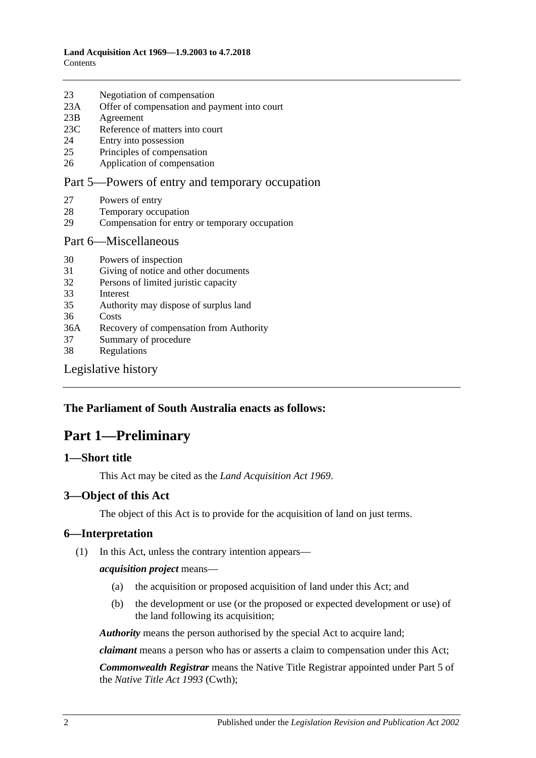23 [Negotiation of compensation](#page-16-2)

|     | $\sim$                                          |
|-----|-------------------------------------------------|
| 23A | Offer of compensation and payment into court    |
| 23B | Agreement                                       |
| 23C | Reference of matters into court                 |
| 24  | Entry into possession                           |
| 25  | Principles of compensation                      |
| 26  | Application of compensation                     |
|     | Part 5—Powers of entry and temporary occupation |
| 27  | Powers of entry                                 |
| 28  | Temporary occupation                            |
| 29  | Compensation for entry or temporary occupation  |
|     | Part 6—Miscellaneous                            |
| 30  | Powers of inspection                            |
| 31  | Giving of notice and other documents            |
| 32  | Persons of limited juristic capacity            |
| 33  | Interest                                        |
| 35  | Authority may dispose of surplus land           |
| 36  | Costs                                           |

- 36A [Recovery of compensation from Authority](#page-23-3) 37 [Summary of procedure](#page-23-4)
- 38 [Regulations](#page-23-5)

[Legislative history](#page-24-0)

#### <span id="page-1-0"></span>**The Parliament of South Australia enacts as follows:**

# **Part 1—Preliminary**

#### <span id="page-1-1"></span>**1—Short title**

This Act may be cited as the *Land Acquisition Act 1969*.

#### <span id="page-1-2"></span>**3—Object of this Act**

The object of this Act is to provide for the acquisition of land on just terms.

#### <span id="page-1-3"></span>**6—Interpretation**

(1) In this Act, unless the contrary intention appears—

#### *acquisition project* means—

- (a) the acquisition or proposed acquisition of land under this Act; and
- (b) the development or use (or the proposed or expected development or use) of the land following its acquisition;

*Authority* means the person authorised by the special Act to acquire land;

*claimant* means a person who has or asserts a claim to compensation under this Act;

*Commonwealth Registrar* means the Native Title Registrar appointed under Part 5 of the *Native Title Act 1993* (Cwth);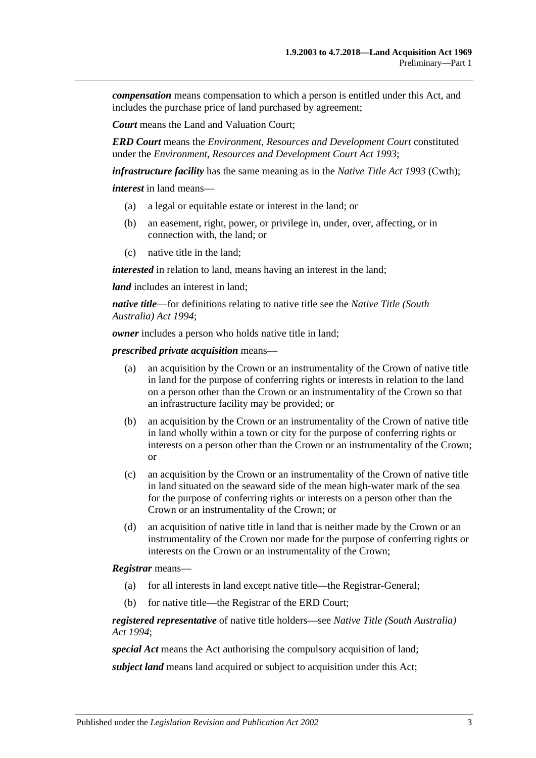*compensation* means compensation to which a person is entitled under this Act, and includes the purchase price of land purchased by agreement;

*Court* means the Land and Valuation Court;

*ERD Court* means the *Environment, Resources and Development Court* constituted under the *[Environment, Resources and Development Court Act](http://www.legislation.sa.gov.au/index.aspx?action=legref&type=act&legtitle=Environment%20Resources%20and%20Development%20Court%20Act%201993) 1993*;

*infrastructure facility* has the same meaning as in the *Native Title Act 1993* (Cwth);

*interest* in land means—

- (a) a legal or equitable estate or interest in the land; or
- (b) an easement, right, power, or privilege in, under, over, affecting, or in connection with, the land; or
- (c) native title in the land;

*interested* in relation to land, means having an interest in the land;

*land* includes an interest in land:

*native title*—for definitions relating to native title see the *[Native Title \(South](http://www.legislation.sa.gov.au/index.aspx?action=legref&type=act&legtitle=Native%20Title%20(South%20Australia)%20Act%201994)  [Australia\) Act](http://www.legislation.sa.gov.au/index.aspx?action=legref&type=act&legtitle=Native%20Title%20(South%20Australia)%20Act%201994) 1994*;

*owner* includes a person who holds native title in land;

*prescribed private acquisition* means—

- (a) an acquisition by the Crown or an instrumentality of the Crown of native title in land for the purpose of conferring rights or interests in relation to the land on a person other than the Crown or an instrumentality of the Crown so that an infrastructure facility may be provided; or
- (b) an acquisition by the Crown or an instrumentality of the Crown of native title in land wholly within a town or city for the purpose of conferring rights or interests on a person other than the Crown or an instrumentality of the Crown; or
- (c) an acquisition by the Crown or an instrumentality of the Crown of native title in land situated on the seaward side of the mean high-water mark of the sea for the purpose of conferring rights or interests on a person other than the Crown or an instrumentality of the Crown; or
- (d) an acquisition of native title in land that is neither made by the Crown or an instrumentality of the Crown nor made for the purpose of conferring rights or interests on the Crown or an instrumentality of the Crown;

#### *Registrar* means—

- (a) for all interests in land except native title—the Registrar-General;
- (b) for native title—the Registrar of the ERD Court;

*registered representative* of native title holders—see *[Native Title \(South Australia\)](http://www.legislation.sa.gov.au/index.aspx?action=legref&type=act&legtitle=Native%20Title%20(South%20Australia)%20Act%201994)  Act [1994](http://www.legislation.sa.gov.au/index.aspx?action=legref&type=act&legtitle=Native%20Title%20(South%20Australia)%20Act%201994)*;

*special Act* means the Act authorising the compulsory acquisition of land;

*subject land* means land acquired or subject to acquisition under this Act;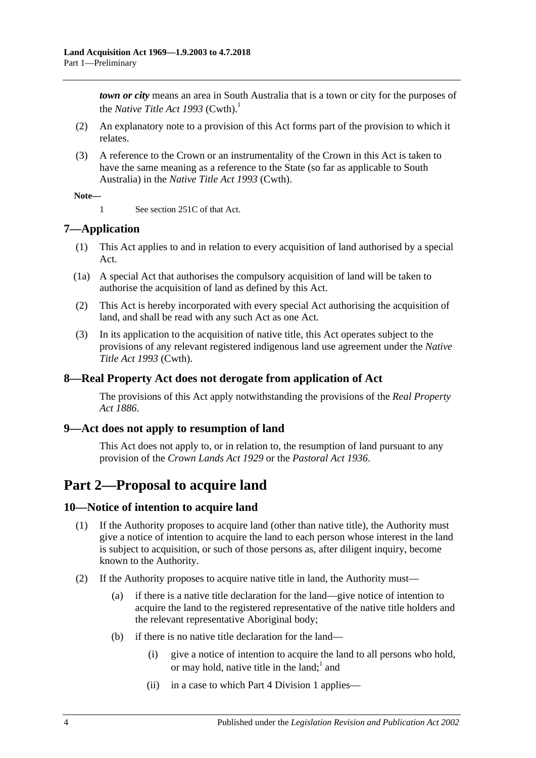*town or city* means an area in South Australia that is a town or city for the purposes of the *Native Title Act* 1993 (Cwth).<sup>1</sup>

- (2) An explanatory note to a provision of this Act forms part of the provision to which it relates.
- (3) A reference to the Crown or an instrumentality of the Crown in this Act is taken to have the same meaning as a reference to the State (so far as applicable to South Australia) in the *Native Title Act 1993* (Cwth).

#### **Note—**

1 See section 251C of that Act.

## <span id="page-3-0"></span>**7—Application**

- (1) This Act applies to and in relation to every acquisition of land authorised by a special Act.
- (1a) A special Act that authorises the compulsory acquisition of land will be taken to authorise the acquisition of land as defined by this Act.
- (2) This Act is hereby incorporated with every special Act authorising the acquisition of land, and shall be read with any such Act as one Act.
- (3) In its application to the acquisition of native title, this Act operates subject to the provisions of any relevant registered indigenous land use agreement under the *Native Title Act 1993* (Cwth).

## <span id="page-3-1"></span>**8—Real Property Act does not derogate from application of Act**

The provisions of this Act apply notwithstanding the provisions of the *[Real Property](http://www.legislation.sa.gov.au/index.aspx?action=legref&type=act&legtitle=Real%20Property%20Act%201886)  Act [1886](http://www.legislation.sa.gov.au/index.aspx?action=legref&type=act&legtitle=Real%20Property%20Act%201886)*.

## <span id="page-3-2"></span>**9—Act does not apply to resumption of land**

This Act does not apply to, or in relation to, the resumption of land pursuant to any provision of the *[Crown Lands Act](http://www.legislation.sa.gov.au/index.aspx?action=legref&type=act&legtitle=Crown%20Lands%20Act%201929) 1929* or the *[Pastoral Act](http://www.legislation.sa.gov.au/index.aspx?action=legref&type=act&legtitle=Pastoral%20Act%201936) 1936*.

# <span id="page-3-3"></span>**Part 2—Proposal to acquire land**

## <span id="page-3-4"></span>**10—Notice of intention to acquire land**

- (1) If the Authority proposes to acquire land (other than native title), the Authority must give a notice of intention to acquire the land to each person whose interest in the land is subject to acquisition, or such of those persons as, after diligent inquiry, become known to the Authority.
- <span id="page-3-5"></span>(2) If the Authority proposes to acquire native title in land, the Authority must—
	- (a) if there is a native title declaration for the land—give notice of intention to acquire the land to the registered representative of the native title holders and the relevant representative Aboriginal body;
	- (b) if there is no native title declaration for the land—
		- (i) give a notice of intention to acquire the land to all persons who hold, or may hold, native title in the land;  $1$  and
		- (ii) in a case to which [Part 4 Division 1](#page-12-1) applies—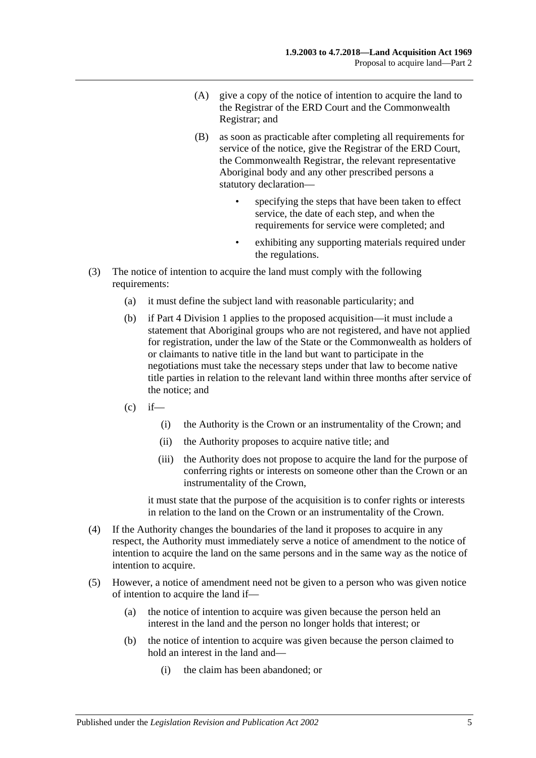- (A) give a copy of the notice of intention to acquire the land to the Registrar of the ERD Court and the Commonwealth Registrar; and
- (B) as soon as practicable after completing all requirements for service of the notice, give the Registrar of the ERD Court, the Commonwealth Registrar, the relevant representative Aboriginal body and any other prescribed persons a statutory declaration
	- specifying the steps that have been taken to effect service, the date of each step, and when the requirements for service were completed; and
	- exhibiting any supporting materials required under the regulations.
- (3) The notice of intention to acquire the land must comply with the following requirements:
	- (a) it must define the subject land with reasonable particularity; and
	- (b) if [Part 4 Division 1](#page-12-1) applies to the proposed acquisition—it must include a statement that Aboriginal groups who are not registered, and have not applied for registration, under the law of the State or the Commonwealth as holders of or claimants to native title in the land but want to participate in the negotiations must take the necessary steps under that law to become native title parties in relation to the relevant land within three months after service of the notice; and
	- $(c)$  if—
		- (i) the Authority is the Crown or an instrumentality of the Crown; and
		- (ii) the Authority proposes to acquire native title; and
		- (iii) the Authority does not propose to acquire the land for the purpose of conferring rights or interests on someone other than the Crown or an instrumentality of the Crown,

it must state that the purpose of the acquisition is to confer rights or interests in relation to the land on the Crown or an instrumentality of the Crown.

- (4) If the Authority changes the boundaries of the land it proposes to acquire in any respect, the Authority must immediately serve a notice of amendment to the notice of intention to acquire the land on the same persons and in the same way as the notice of intention to acquire.
- (5) However, a notice of amendment need not be given to a person who was given notice of intention to acquire the land if—
	- (a) the notice of intention to acquire was given because the person held an interest in the land and the person no longer holds that interest; or
	- (b) the notice of intention to acquire was given because the person claimed to hold an interest in the land and—
		- (i) the claim has been abandoned; or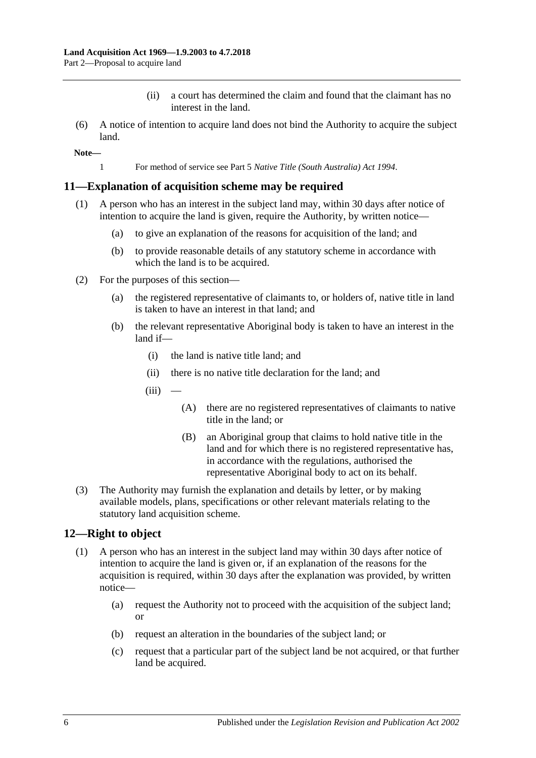- (ii) a court has determined the claim and found that the claimant has no interest in the land.
- (6) A notice of intention to acquire land does not bind the Authority to acquire the subject land.

**Note—**

1 For method of service see Part 5 *[Native Title \(South Australia\) Act](http://www.legislation.sa.gov.au/index.aspx?action=legref&type=act&legtitle=Native%20Title%20(South%20Australia)%20Act%201994) 1994*.

#### <span id="page-5-0"></span>**11—Explanation of acquisition scheme may be required**

- (1) A person who has an interest in the subject land may, within 30 days after notice of intention to acquire the land is given, require the Authority, by written notice—
	- (a) to give an explanation of the reasons for acquisition of the land; and
	- (b) to provide reasonable details of any statutory scheme in accordance with which the land is to be acquired.
- (2) For the purposes of this section—
	- (a) the registered representative of claimants to, or holders of, native title in land is taken to have an interest in that land; and
	- (b) the relevant representative Aboriginal body is taken to have an interest in the land if—
		- (i) the land is native title land; and
		- (ii) there is no native title declaration for the land; and
		- $(iii)$ 
			- (A) there are no registered representatives of claimants to native title in the land; or
			- (B) an Aboriginal group that claims to hold native title in the land and for which there is no registered representative has, in accordance with the regulations, authorised the representative Aboriginal body to act on its behalf.
- (3) The Authority may furnish the explanation and details by letter, or by making available models, plans, specifications or other relevant materials relating to the statutory land acquisition scheme.

#### <span id="page-5-2"></span><span id="page-5-1"></span>**12—Right to object**

- (1) A person who has an interest in the subject land may within 30 days after notice of intention to acquire the land is given or, if an explanation of the reasons for the acquisition is required, within 30 days after the explanation was provided, by written notice—
	- (a) request the Authority not to proceed with the acquisition of the subject land; or
	- (b) request an alteration in the boundaries of the subject land; or
	- (c) request that a particular part of the subject land be not acquired, or that further land be acquired.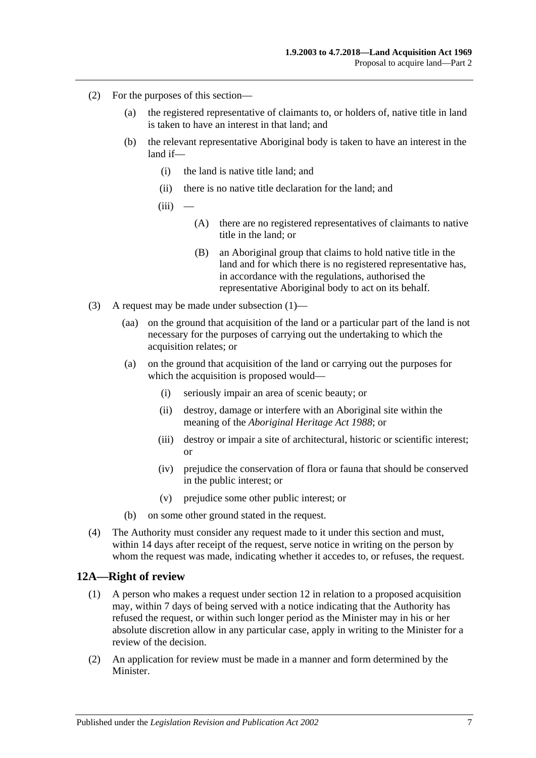- (2) For the purposes of this section—
	- (a) the registered representative of claimants to, or holders of, native title in land is taken to have an interest in that land; and
	- (b) the relevant representative Aboriginal body is taken to have an interest in the land if—
		- (i) the land is native title land; and
		- (ii) there is no native title declaration for the land; and
		- $(iii)$ 
			- (A) there are no registered representatives of claimants to native title in the land; or
			- (B) an Aboriginal group that claims to hold native title in the land and for which there is no registered representative has, in accordance with the regulations, authorised the representative Aboriginal body to act on its behalf.
- (3) A request may be made under [subsection](#page-5-2) (1)—
	- (aa) on the ground that acquisition of the land or a particular part of the land is not necessary for the purposes of carrying out the undertaking to which the acquisition relates; or
	- (a) on the ground that acquisition of the land or carrying out the purposes for which the acquisition is proposed would—
		- (i) seriously impair an area of scenic beauty; or
		- (ii) destroy, damage or interfere with an Aboriginal site within the meaning of the *[Aboriginal Heritage Act](http://www.legislation.sa.gov.au/index.aspx?action=legref&type=act&legtitle=Aboriginal%20Heritage%20Act%201988) 1988*; or
		- (iii) destroy or impair a site of architectural, historic or scientific interest; or
		- (iv) prejudice the conservation of flora or fauna that should be conserved in the public interest; or
		- (v) prejudice some other public interest; or
	- (b) on some other ground stated in the request.
- (4) The Authority must consider any request made to it under this section and must, within 14 days after receipt of the request, serve notice in writing on the person by whom the request was made, indicating whether it accedes to, or refuses, the request.

#### <span id="page-6-0"></span>**12A—Right of review**

- (1) A person who makes a request under [section](#page-5-1) 12 in relation to a proposed acquisition may, within 7 days of being served with a notice indicating that the Authority has refused the request, or within such longer period as the Minister may in his or her absolute discretion allow in any particular case, apply in writing to the Minister for a review of the decision.
- (2) An application for review must be made in a manner and form determined by the Minister.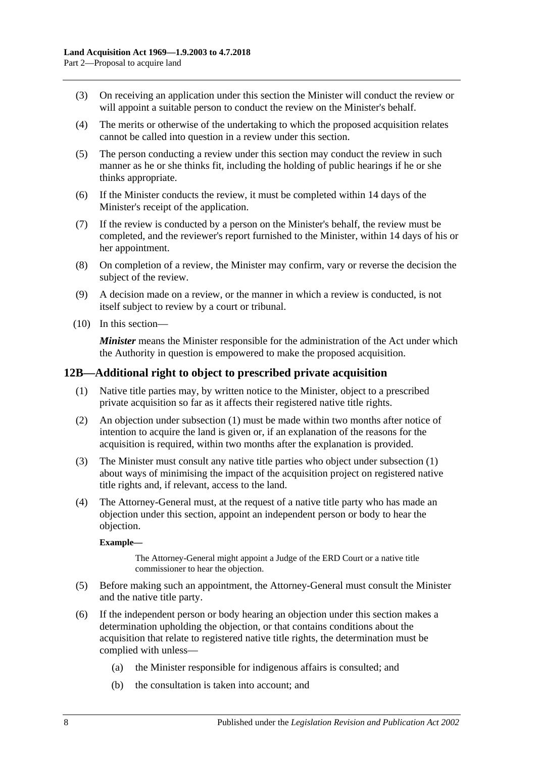- (3) On receiving an application under this section the Minister will conduct the review or will appoint a suitable person to conduct the review on the Minister's behalf.
- (4) The merits or otherwise of the undertaking to which the proposed acquisition relates cannot be called into question in a review under this section.
- (5) The person conducting a review under this section may conduct the review in such manner as he or she thinks fit, including the holding of public hearings if he or she thinks appropriate.
- (6) If the Minister conducts the review, it must be completed within 14 days of the Minister's receipt of the application.
- (7) If the review is conducted by a person on the Minister's behalf, the review must be completed, and the reviewer's report furnished to the Minister, within 14 days of his or her appointment.
- (8) On completion of a review, the Minister may confirm, vary or reverse the decision the subject of the review.
- (9) A decision made on a review, or the manner in which a review is conducted, is not itself subject to review by a court or tribunal.
- (10) In this section—

*Minister* means the Minister responsible for the administration of the Act under which the Authority in question is empowered to make the proposed acquisition.

## <span id="page-7-1"></span><span id="page-7-0"></span>**12B—Additional right to object to prescribed private acquisition**

- (1) Native title parties may, by written notice to the Minister, object to a prescribed private acquisition so far as it affects their registered native title rights.
- (2) An objection under [subsection](#page-7-1) (1) must be made within two months after notice of intention to acquire the land is given or, if an explanation of the reasons for the acquisition is required, within two months after the explanation is provided.
- (3) The Minister must consult any native title parties who object under [subsection](#page-7-1) (1) about ways of minimising the impact of the acquisition project on registered native title rights and, if relevant, access to the land.
- (4) The Attorney-General must, at the request of a native title party who has made an objection under this section, appoint an independent person or body to hear the objection.

#### **Example—**

The Attorney-General might appoint a Judge of the ERD Court or a native title commissioner to hear the objection.

- (5) Before making such an appointment, the Attorney-General must consult the Minister and the native title party.
- (6) If the independent person or body hearing an objection under this section makes a determination upholding the objection, or that contains conditions about the acquisition that relate to registered native title rights, the determination must be complied with unless—
	- (a) the Minister responsible for indigenous affairs is consulted; and
	- (b) the consultation is taken into account; and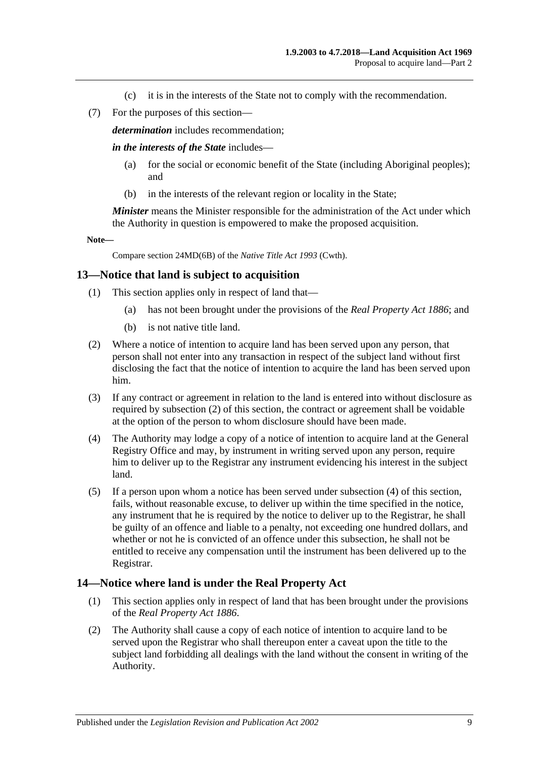- (c) it is in the interests of the State not to comply with the recommendation.
- (7) For the purposes of this section—

*determination* includes recommendation;

*in the interests of the State* includes—

- (a) for the social or economic benefit of the State (including Aboriginal peoples); and
- (b) in the interests of the relevant region or locality in the State;

*Minister* means the Minister responsible for the administration of the Act under which the Authority in question is empowered to make the proposed acquisition.

**Note—**

Compare section 24MD(6B) of the *Native Title Act 1993* (Cwth).

#### <span id="page-8-0"></span>**13—Notice that land is subject to acquisition**

- (1) This section applies only in respect of land that—
	- (a) has not been brought under the provisions of the *[Real Property Act](http://www.legislation.sa.gov.au/index.aspx?action=legref&type=act&legtitle=Real%20Property%20Act%201886) 1886*; and
	- (b) is not native title land.
- <span id="page-8-2"></span>(2) Where a notice of intention to acquire land has been served upon any person, that person shall not enter into any transaction in respect of the subject land without first disclosing the fact that the notice of intention to acquire the land has been served upon him.
- (3) If any contract or agreement in relation to the land is entered into without disclosure as required by [subsection](#page-8-2) (2) of this section, the contract or agreement shall be voidable at the option of the person to whom disclosure should have been made.
- <span id="page-8-3"></span>(4) The Authority may lodge a copy of a notice of intention to acquire land at the General Registry Office and may, by instrument in writing served upon any person, require him to deliver up to the Registrar any instrument evidencing his interest in the subject land.
- (5) If a person upon whom a notice has been served under [subsection](#page-8-3) (4) of this section, fails, without reasonable excuse, to deliver up within the time specified in the notice, any instrument that he is required by the notice to deliver up to the Registrar, he shall be guilty of an offence and liable to a penalty, not exceeding one hundred dollars, and whether or not he is convicted of an offence under this subsection, he shall not be entitled to receive any compensation until the instrument has been delivered up to the Registrar.

#### <span id="page-8-1"></span>**14—Notice where land is under the Real Property Act**

- (1) This section applies only in respect of land that has been brought under the provisions of the *[Real Property Act](http://www.legislation.sa.gov.au/index.aspx?action=legref&type=act&legtitle=Real%20Property%20Act%201886) 1886*.
- (2) The Authority shall cause a copy of each notice of intention to acquire land to be served upon the Registrar who shall thereupon enter a caveat upon the title to the subject land forbidding all dealings with the land without the consent in writing of the Authority.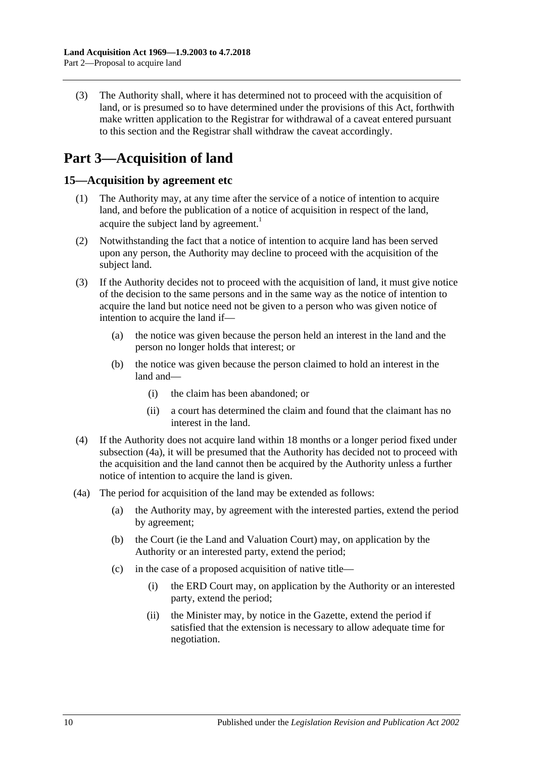(3) The Authority shall, where it has determined not to proceed with the acquisition of land, or is presumed so to have determined under the provisions of this Act, forthwith make written application to the Registrar for withdrawal of a caveat entered pursuant to this section and the Registrar shall withdraw the caveat accordingly.

# <span id="page-9-0"></span>**Part 3—Acquisition of land**

## <span id="page-9-1"></span>**15—Acquisition by agreement etc**

- (1) The Authority may, at any time after the service of a notice of intention to acquire land, and before the publication of a notice of acquisition in respect of the land, acquire the subject land by agreement.<sup>1</sup>
- (2) Notwithstanding the fact that a notice of intention to acquire land has been served upon any person, the Authority may decline to proceed with the acquisition of the subject land.
- (3) If the Authority decides not to proceed with the acquisition of land, it must give notice of the decision to the same persons and in the same way as the notice of intention to acquire the land but notice need not be given to a person who was given notice of intention to acquire the land if—
	- (a) the notice was given because the person held an interest in the land and the person no longer holds that interest; or
	- (b) the notice was given because the person claimed to hold an interest in the land and—
		- (i) the claim has been abandoned; or
		- (ii) a court has determined the claim and found that the claimant has no interest in the land.
- <span id="page-9-3"></span>(4) If the Authority does not acquire land within 18 months or a longer period fixed under [subsection](#page-9-2) (4a), it will be presumed that the Authority has decided not to proceed with the acquisition and the land cannot then be acquired by the Authority unless a further notice of intention to acquire the land is given.
- <span id="page-9-2"></span>(4a) The period for acquisition of the land may be extended as follows:
	- (a) the Authority may, by agreement with the interested parties, extend the period by agreement;
	- (b) the Court (ie the Land and Valuation Court) may, on application by the Authority or an interested party, extend the period;
	- (c) in the case of a proposed acquisition of native title—
		- (i) the ERD Court may, on application by the Authority or an interested party, extend the period;
		- (ii) the Minister may, by notice in the Gazette, extend the period if satisfied that the extension is necessary to allow adequate time for negotiation.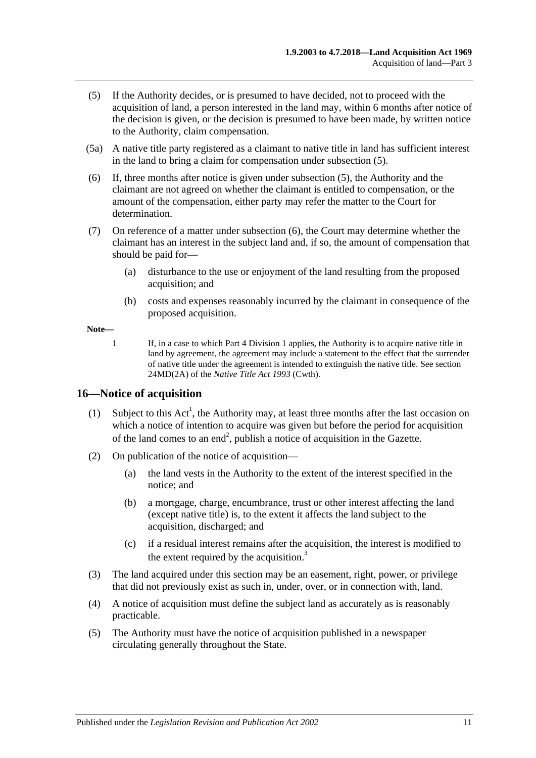- <span id="page-10-1"></span>(5) If the Authority decides, or is presumed to have decided, not to proceed with the acquisition of land, a person interested in the land may, within 6 months after notice of the decision is given, or the decision is presumed to have been made, by written notice to the Authority, claim compensation.
- (5a) A native title party registered as a claimant to native title in land has sufficient interest in the land to bring a claim for compensation under [subsection](#page-10-1) (5).
- <span id="page-10-2"></span>(6) If, three months after notice is given under [subsection](#page-10-1) (5), the Authority and the claimant are not agreed on whether the claimant is entitled to compensation, or the amount of the compensation, either party may refer the matter to the Court for determination.
- (7) On reference of a matter under [subsection](#page-10-2) (6), the Court may determine whether the claimant has an interest in the subject land and, if so, the amount of compensation that should be paid for—
	- (a) disturbance to the use or enjoyment of the land resulting from the proposed acquisition; and
	- (b) costs and expenses reasonably incurred by the claimant in consequence of the proposed acquisition.

**Note—**

1 If, in a case to which [Part 4 Division 1](#page-12-1) applies, the Authority is to acquire native title in land by agreement, the agreement may include a statement to the effect that the surrender of native title under the agreement is intended to extinguish the native title. See section 24MD(2A) of the *Native Title Act 1993* (Cwth).

## <span id="page-10-0"></span>**16—Notice of acquisition**

- (1) Subject to this  $Act^1$ , the Authority may, at least three months after the last occasion on which a notice of intention to acquire was given but before the period for acquisition of the land comes to an end<sup>2</sup>, publish a notice of acquisition in the Gazette.
- (2) On publication of the notice of acquisition—
	- (a) the land vests in the Authority to the extent of the interest specified in the notice; and
	- (b) a mortgage, charge, encumbrance, trust or other interest affecting the land (except native title) is, to the extent it affects the land subject to the acquisition, discharged; and
	- (c) if a residual interest remains after the acquisition, the interest is modified to the extent required by the acquisition. $3$
- (3) The land acquired under this section may be an easement, right, power, or privilege that did not previously exist as such in, under, over, or in connection with, land.
- (4) A notice of acquisition must define the subject land as accurately as is reasonably practicable.
- (5) The Authority must have the notice of acquisition published in a newspaper circulating generally throughout the State.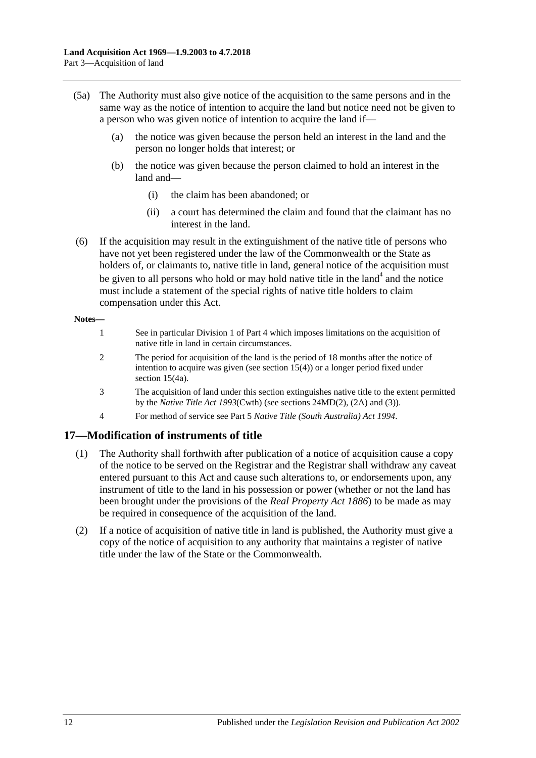- (5a) The Authority must also give notice of the acquisition to the same persons and in the same way as the notice of intention to acquire the land but notice need not be given to a person who was given notice of intention to acquire the land if—
	- (a) the notice was given because the person held an interest in the land and the person no longer holds that interest; or
	- (b) the notice was given because the person claimed to hold an interest in the land and—
		- (i) the claim has been abandoned; or
		- (ii) a court has determined the claim and found that the claimant has no interest in the land.
- (6) If the acquisition may result in the extinguishment of the native title of persons who have not yet been registered under the law of the Commonwealth or the State as holders of, or claimants to, native title in land, general notice of the acquisition must be given to all persons who hold or may hold native title in the land<sup>4</sup> and the notice must include a statement of the special rights of native title holders to claim compensation under this Act.

#### **Notes—**

- 1 See in particular [Division 1](#page-12-1) o[f Part 4](#page-12-0) which imposes limitations on the acquisition of native title in land in certain circumstances.
- 2 The period for acquisition of the land is the period of 18 months after the notice of intention to acquire was given (see [section](#page-9-3) 15(4)) or a longer period fixed under [section](#page-9-2) 15(4a).
- 3 The acquisition of land under this section extinguishes native title to the extent permitted by the *Native Title Act 1993*(Cwth) (see sections 24MD(2), (2A) and (3)).
- 4 For method of service see Part 5 *[Native Title \(South Australia\) Act](http://www.legislation.sa.gov.au/index.aspx?action=legref&type=act&legtitle=Native%20Title%20(South%20Australia)%20Act%201994) 1994*.

## <span id="page-11-0"></span>**17—Modification of instruments of title**

- (1) The Authority shall forthwith after publication of a notice of acquisition cause a copy of the notice to be served on the Registrar and the Registrar shall withdraw any caveat entered pursuant to this Act and cause such alterations to, or endorsements upon, any instrument of title to the land in his possession or power (whether or not the land has been brought under the provisions of the *[Real Property Act](http://www.legislation.sa.gov.au/index.aspx?action=legref&type=act&legtitle=Real%20Property%20Act%201886) 1886*) to be made as may be required in consequence of the acquisition of the land.
- (2) If a notice of acquisition of native title in land is published, the Authority must give a copy of the notice of acquisition to any authority that maintains a register of native title under the law of the State or the Commonwealth.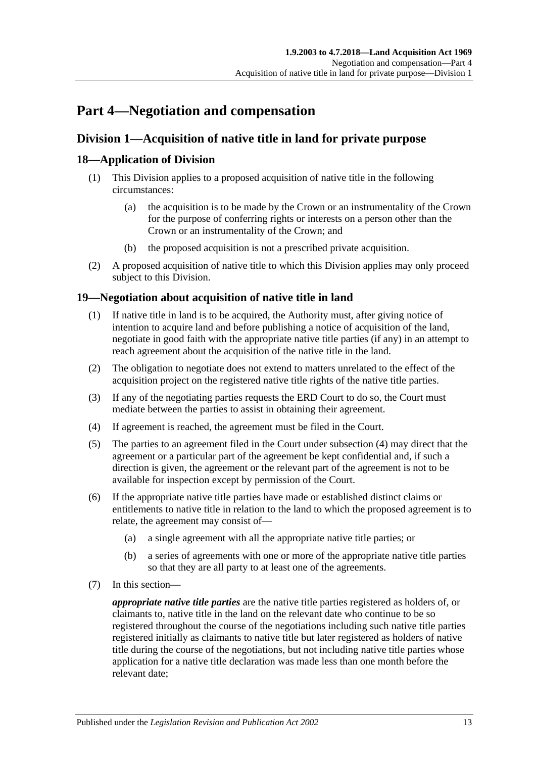# <span id="page-12-0"></span>**Part 4—Negotiation and compensation**

## <span id="page-12-1"></span>**Division 1—Acquisition of native title in land for private purpose**

## <span id="page-12-2"></span>**18—Application of Division**

- (1) This Division applies to a proposed acquisition of native title in the following circumstances:
	- (a) the acquisition is to be made by the Crown or an instrumentality of the Crown for the purpose of conferring rights or interests on a person other than the Crown or an instrumentality of the Crown; and
	- (b) the proposed acquisition is not a prescribed private acquisition.
- (2) A proposed acquisition of native title to which this Division applies may only proceed subject to this Division.

## <span id="page-12-3"></span>**19—Negotiation about acquisition of native title in land**

- (1) If native title in land is to be acquired, the Authority must, after giving notice of intention to acquire land and before publishing a notice of acquisition of the land, negotiate in good faith with the appropriate native title parties (if any) in an attempt to reach agreement about the acquisition of the native title in the land.
- (2) The obligation to negotiate does not extend to matters unrelated to the effect of the acquisition project on the registered native title rights of the native title parties.
- (3) If any of the negotiating parties requests the ERD Court to do so, the Court must mediate between the parties to assist in obtaining their agreement.
- <span id="page-12-4"></span>(4) If agreement is reached, the agreement must be filed in the Court.
- (5) The parties to an agreement filed in the Court under [subsection](#page-12-4) (4) may direct that the agreement or a particular part of the agreement be kept confidential and, if such a direction is given, the agreement or the relevant part of the agreement is not to be available for inspection except by permission of the Court.
- (6) If the appropriate native title parties have made or established distinct claims or entitlements to native title in relation to the land to which the proposed agreement is to relate, the agreement may consist of—
	- (a) a single agreement with all the appropriate native title parties; or
	- (b) a series of agreements with one or more of the appropriate native title parties so that they are all party to at least one of the agreements.
- (7) In this section—

*appropriate native title parties* are the native title parties registered as holders of, or claimants to, native title in the land on the relevant date who continue to be so registered throughout the course of the negotiations including such native title parties registered initially as claimants to native title but later registered as holders of native title during the course of the negotiations, but not including native title parties whose application for a native title declaration was made less than one month before the relevant date;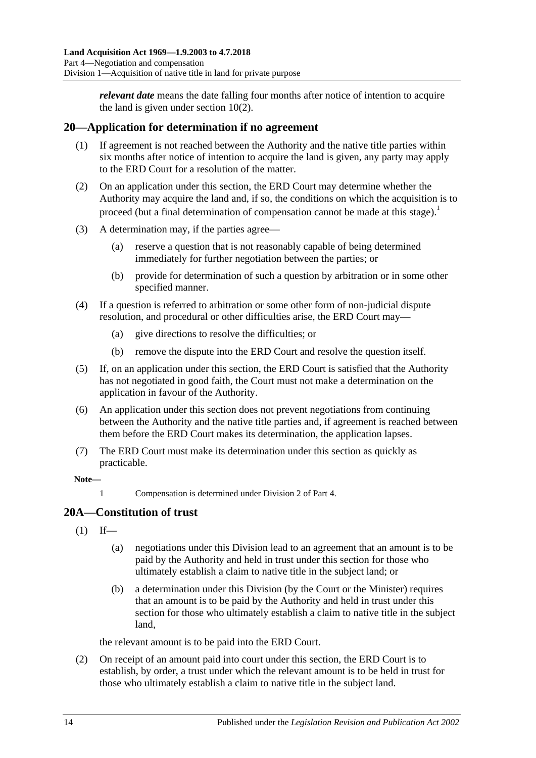*relevant date* means the date falling four months after notice of intention to acquire the land is given under [section](#page-3-5) 10(2).

## <span id="page-13-0"></span>**20—Application for determination if no agreement**

- (1) If agreement is not reached between the Authority and the native title parties within six months after notice of intention to acquire the land is given, any party may apply to the ERD Court for a resolution of the matter.
- (2) On an application under this section, the ERD Court may determine whether the Authority may acquire the land and, if so, the conditions on which the acquisition is to proceed (but a final determination of compensation cannot be made at this stage).<sup>1</sup>
- (3) A determination may, if the parties agree—
	- (a) reserve a question that is not reasonably capable of being determined immediately for further negotiation between the parties; or
	- (b) provide for determination of such a question by arbitration or in some other specified manner.
- (4) If a question is referred to arbitration or some other form of non-judicial dispute resolution, and procedural or other difficulties arise, the ERD Court may—
	- (a) give directions to resolve the difficulties; or
	- (b) remove the dispute into the ERD Court and resolve the question itself.
- (5) If, on an application under this section, the ERD Court is satisfied that the Authority has not negotiated in good faith, the Court must not make a determination on the application in favour of the Authority.
- (6) An application under this section does not prevent negotiations from continuing between the Authority and the native title parties and, if agreement is reached between them before the ERD Court makes its determination, the application lapses.
- (7) The ERD Court must make its determination under this section as quickly as practicable.

#### **Note—**

1 Compensation is determined unde[r Division 2](#page-16-0) of [Part 4.](#page-12-0)

## <span id="page-13-1"></span>**20A—Constitution of trust**

- $(1)$  If—
	- (a) negotiations under this Division lead to an agreement that an amount is to be paid by the Authority and held in trust under this section for those who ultimately establish a claim to native title in the subject land; or
	- (b) a determination under this Division (by the Court or the Minister) requires that an amount is to be paid by the Authority and held in trust under this section for those who ultimately establish a claim to native title in the subject land,

the relevant amount is to be paid into the ERD Court.

(2) On receipt of an amount paid into court under this section, the ERD Court is to establish, by order, a trust under which the relevant amount is to be held in trust for those who ultimately establish a claim to native title in the subject land.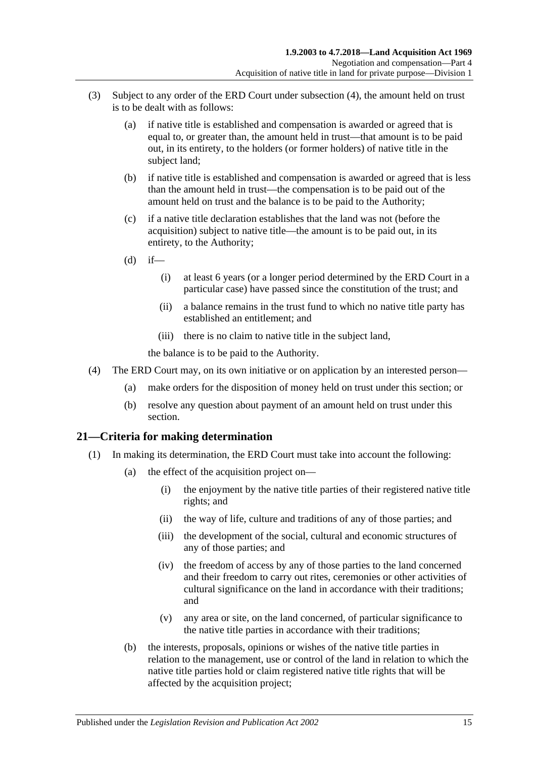- (3) Subject to any order of the ERD Court under [subsection](#page-14-1) (4), the amount held on trust is to be dealt with as follows:
	- (a) if native title is established and compensation is awarded or agreed that is equal to, or greater than, the amount held in trust—that amount is to be paid out, in its entirety, to the holders (or former holders) of native title in the subject land;
	- (b) if native title is established and compensation is awarded or agreed that is less than the amount held in trust—the compensation is to be paid out of the amount held on trust and the balance is to be paid to the Authority;
	- (c) if a native title declaration establishes that the land was not (before the acquisition) subject to native title—the amount is to be paid out, in its entirety, to the Authority;
	- $(d)$  if—
		- (i) at least 6 years (or a longer period determined by the ERD Court in a particular case) have passed since the constitution of the trust; and
		- (ii) a balance remains in the trust fund to which no native title party has established an entitlement; and
		- (iii) there is no claim to native title in the subject land,

the balance is to be paid to the Authority.

- <span id="page-14-1"></span>(4) The ERD Court may, on its own initiative or on application by an interested person—
	- (a) make orders for the disposition of money held on trust under this section; or
	- (b) resolve any question about payment of an amount held on trust under this section.

## <span id="page-14-3"></span><span id="page-14-0"></span>**21—Criteria for making determination**

- <span id="page-14-2"></span>(1) In making its determination, the ERD Court must take into account the following:
	- (a) the effect of the acquisition project on—
		- (i) the enjoyment by the native title parties of their registered native title rights; and
		- (ii) the way of life, culture and traditions of any of those parties; and
		- (iii) the development of the social, cultural and economic structures of any of those parties; and
		- (iv) the freedom of access by any of those parties to the land concerned and their freedom to carry out rites, ceremonies or other activities of cultural significance on the land in accordance with their traditions; and
		- (v) any area or site, on the land concerned, of particular significance to the native title parties in accordance with their traditions;
	- (b) the interests, proposals, opinions or wishes of the native title parties in relation to the management, use or control of the land in relation to which the native title parties hold or claim registered native title rights that will be affected by the acquisition project;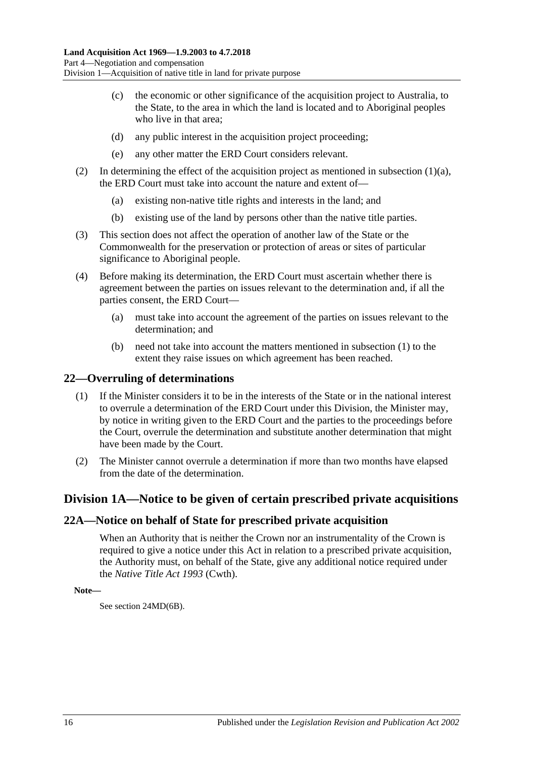- (c) the economic or other significance of the acquisition project to Australia, to the State, to the area in which the land is located and to Aboriginal peoples who live in that area;
- (d) any public interest in the acquisition project proceeding;
- (e) any other matter the ERD Court considers relevant.
- (2) In determining the effect of the acquisition project as mentioned in [subsection](#page-14-2)  $(1)(a)$ , the ERD Court must take into account the nature and extent of—
	- (a) existing non-native title rights and interests in the land; and
	- (b) existing use of the land by persons other than the native title parties.
- (3) This section does not affect the operation of another law of the State or the Commonwealth for the preservation or protection of areas or sites of particular significance to Aboriginal people.
- (4) Before making its determination, the ERD Court must ascertain whether there is agreement between the parties on issues relevant to the determination and, if all the parties consent, the ERD Court—
	- (a) must take into account the agreement of the parties on issues relevant to the determination; and
	- (b) need not take into account the matters mentioned in [subsection](#page-14-3) (1) to the extent they raise issues on which agreement has been reached.

#### <span id="page-15-0"></span>**22—Overruling of determinations**

- (1) If the Minister considers it to be in the interests of the State or in the national interest to overrule a determination of the ERD Court under this Division, the Minister may, by notice in writing given to the ERD Court and the parties to the proceedings before the Court, overrule the determination and substitute another determination that might have been made by the Court.
- (2) The Minister cannot overrule a determination if more than two months have elapsed from the date of the determination.

## <span id="page-15-1"></span>**Division 1A—Notice to be given of certain prescribed private acquisitions**

#### <span id="page-15-2"></span>**22A—Notice on behalf of State for prescribed private acquisition**

When an Authority that is neither the Crown nor an instrumentality of the Crown is required to give a notice under this Act in relation to a prescribed private acquisition, the Authority must, on behalf of the State, give any additional notice required under the *Native Title Act 1993* (Cwth).

**Note—**

See section 24MD(6B).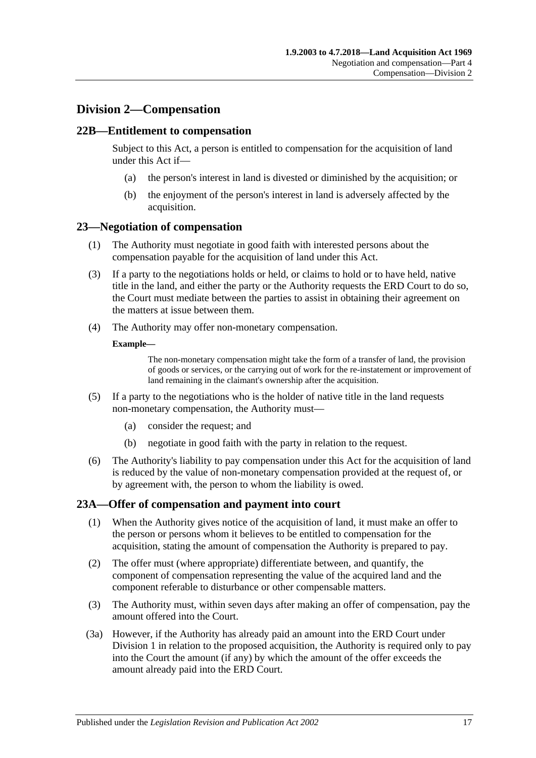## <span id="page-16-0"></span>**Division 2—Compensation**

#### <span id="page-16-1"></span>**22B—Entitlement to compensation**

Subject to this Act, a person is entitled to compensation for the acquisition of land under this Act if—

- (a) the person's interest in land is divested or diminished by the acquisition; or
- (b) the enjoyment of the person's interest in land is adversely affected by the acquisition.

#### <span id="page-16-2"></span>**23—Negotiation of compensation**

- (1) The Authority must negotiate in good faith with interested persons about the compensation payable for the acquisition of land under this Act.
- (3) If a party to the negotiations holds or held, or claims to hold or to have held, native title in the land, and either the party or the Authority requests the ERD Court to do so, the Court must mediate between the parties to assist in obtaining their agreement on the matters at issue between them.
- (4) The Authority may offer non-monetary compensation.

#### **Example—**

The non-monetary compensation might take the form of a transfer of land, the provision of goods or services, or the carrying out of work for the re-instatement or improvement of land remaining in the claimant's ownership after the acquisition.

- (5) If a party to the negotiations who is the holder of native title in the land requests non-monetary compensation, the Authority must—
	- (a) consider the request; and
	- (b) negotiate in good faith with the party in relation to the request.
- (6) The Authority's liability to pay compensation under this Act for the acquisition of land is reduced by the value of non-monetary compensation provided at the request of, or by agreement with, the person to whom the liability is owed.

#### <span id="page-16-3"></span>**23A—Offer of compensation and payment into court**

- (1) When the Authority gives notice of the acquisition of land, it must make an offer to the person or persons whom it believes to be entitled to compensation for the acquisition, stating the amount of compensation the Authority is prepared to pay.
- (2) The offer must (where appropriate) differentiate between, and quantify, the component of compensation representing the value of the acquired land and the component referable to disturbance or other compensable matters.
- (3) The Authority must, within seven days after making an offer of compensation, pay the amount offered into the Court.
- (3a) However, if the Authority has already paid an amount into the ERD Court under [Division 1](#page-12-1) in relation to the proposed acquisition, the Authority is required only to pay into the Court the amount (if any) by which the amount of the offer exceeds the amount already paid into the ERD Court.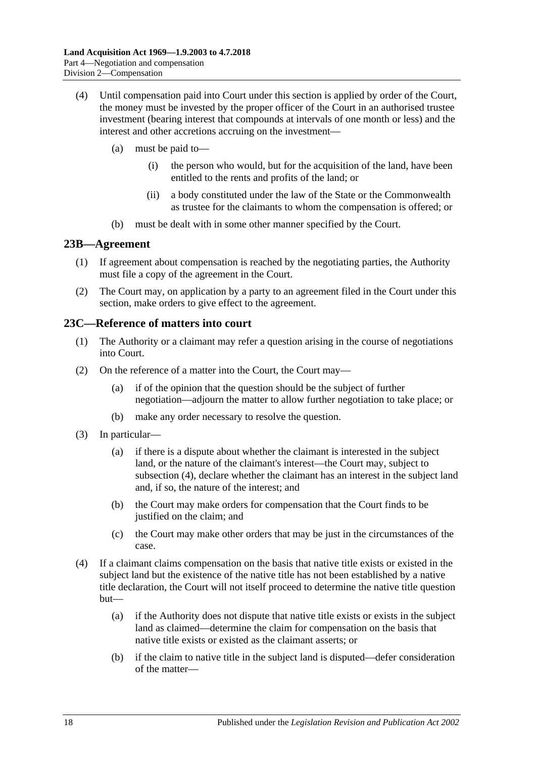- (4) Until compensation paid into Court under this section is applied by order of the Court, the money must be invested by the proper officer of the Court in an authorised trustee investment (bearing interest that compounds at intervals of one month or less) and the interest and other accretions accruing on the investment—
	- (a) must be paid to—
		- (i) the person who would, but for the acquisition of the land, have been entitled to the rents and profits of the land; or
		- (ii) a body constituted under the law of the State or the Commonwealth as trustee for the claimants to whom the compensation is offered; or
	- (b) must be dealt with in some other manner specified by the Court.

#### <span id="page-17-0"></span>**23B—Agreement**

- (1) If agreement about compensation is reached by the negotiating parties, the Authority must file a copy of the agreement in the Court.
- (2) The Court may, on application by a party to an agreement filed in the Court under this section, make orders to give effect to the agreement.

## <span id="page-17-1"></span>**23C—Reference of matters into court**

- (1) The Authority or a claimant may refer a question arising in the course of negotiations into Court.
- (2) On the reference of a matter into the Court, the Court may—
	- (a) if of the opinion that the question should be the subject of further negotiation—adjourn the matter to allow further negotiation to take place; or
	- (b) make any order necessary to resolve the question.
- (3) In particular—
	- (a) if there is a dispute about whether the claimant is interested in the subject land, or the nature of the claimant's interest—the Court may, subject to [subsection](#page-17-2) (4), declare whether the claimant has an interest in the subject land and, if so, the nature of the interest; and
	- (b) the Court may make orders for compensation that the Court finds to be justified on the claim; and
	- (c) the Court may make other orders that may be just in the circumstances of the case.
- <span id="page-17-2"></span>(4) If a claimant claims compensation on the basis that native title exists or existed in the subject land but the existence of the native title has not been established by a native title declaration, the Court will not itself proceed to determine the native title question but—
	- (a) if the Authority does not dispute that native title exists or exists in the subject land as claimed—determine the claim for compensation on the basis that native title exists or existed as the claimant asserts; or
	- (b) if the claim to native title in the subject land is disputed—defer consideration of the matter—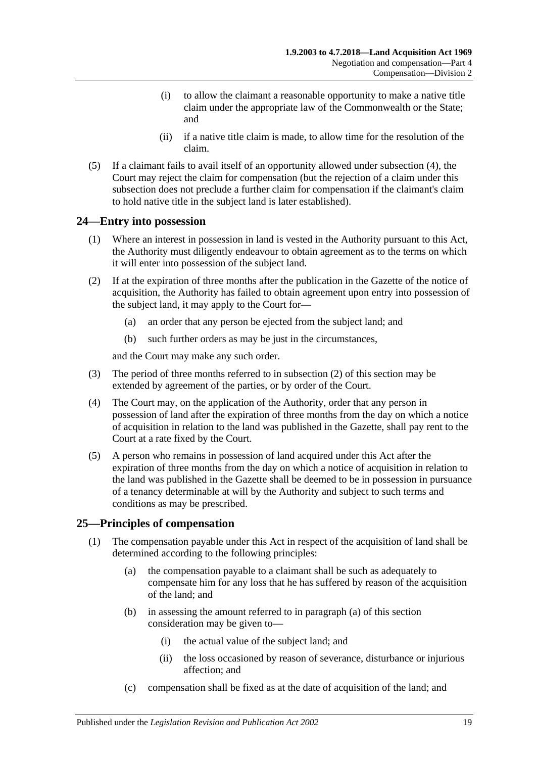- (i) to allow the claimant a reasonable opportunity to make a native title claim under the appropriate law of the Commonwealth or the State; and
- (ii) if a native title claim is made, to allow time for the resolution of the claim.
- (5) If a claimant fails to avail itself of an opportunity allowed under [subsection](#page-17-2) (4), the Court may reject the claim for compensation (but the rejection of a claim under this subsection does not preclude a further claim for compensation if the claimant's claim to hold native title in the subject land is later established).

## <span id="page-18-0"></span>**24—Entry into possession**

- (1) Where an interest in possession in land is vested in the Authority pursuant to this Act, the Authority must diligently endeavour to obtain agreement as to the terms on which it will enter into possession of the subject land.
- <span id="page-18-2"></span>(2) If at the expiration of three months after the publication in the Gazette of the notice of acquisition, the Authority has failed to obtain agreement upon entry into possession of the subject land, it may apply to the Court for—
	- (a) an order that any person be ejected from the subject land; and
	- (b) such further orders as may be just in the circumstances,

and the Court may make any such order.

- (3) The period of three months referred to in [subsection](#page-18-2) (2) of this section may be extended by agreement of the parties, or by order of the Court.
- (4) The Court may, on the application of the Authority, order that any person in possession of land after the expiration of three months from the day on which a notice of acquisition in relation to the land was published in the Gazette, shall pay rent to the Court at a rate fixed by the Court.
- (5) A person who remains in possession of land acquired under this Act after the expiration of three months from the day on which a notice of acquisition in relation to the land was published in the Gazette shall be deemed to be in possession in pursuance of a tenancy determinable at will by the Authority and subject to such terms and conditions as may be prescribed.

## <span id="page-18-4"></span><span id="page-18-1"></span>**25—Principles of compensation**

- <span id="page-18-3"></span>(1) The compensation payable under this Act in respect of the acquisition of land shall be determined according to the following principles:
	- (a) the compensation payable to a claimant shall be such as adequately to compensate him for any loss that he has suffered by reason of the acquisition of the land; and
	- (b) in assessing the amount referred to in [paragraph](#page-18-3) (a) of this section consideration may be given to—
		- (i) the actual value of the subject land; and
		- (ii) the loss occasioned by reason of severance, disturbance or injurious affection; and
	- (c) compensation shall be fixed as at the date of acquisition of the land; and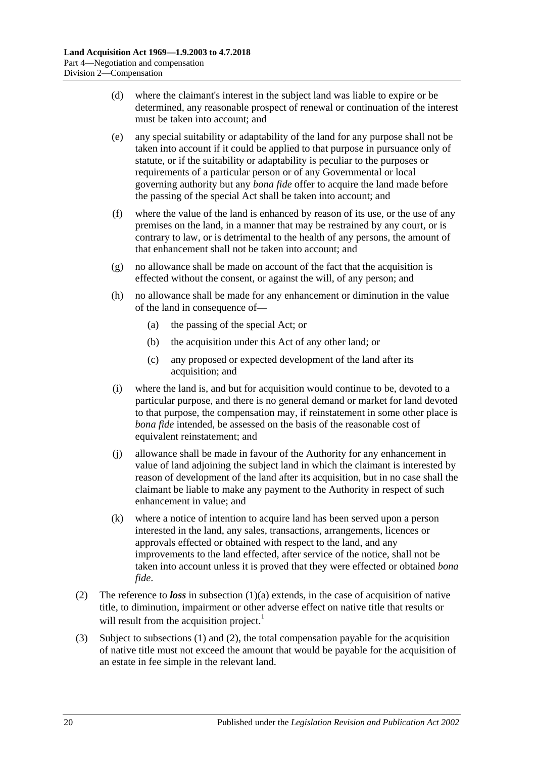- (d) where the claimant's interest in the subject land was liable to expire or be determined, any reasonable prospect of renewal or continuation of the interest must be taken into account; and
- (e) any special suitability or adaptability of the land for any purpose shall not be taken into account if it could be applied to that purpose in pursuance only of statute, or if the suitability or adaptability is peculiar to the purposes or requirements of a particular person or of any Governmental or local governing authority but any *bona fide* offer to acquire the land made before the passing of the special Act shall be taken into account; and
- (f) where the value of the land is enhanced by reason of its use, or the use of any premises on the land, in a manner that may be restrained by any court, or is contrary to law, or is detrimental to the health of any persons, the amount of that enhancement shall not be taken into account; and
- (g) no allowance shall be made on account of the fact that the acquisition is effected without the consent, or against the will, of any person; and
- (h) no allowance shall be made for any enhancement or diminution in the value of the land in consequence of—
	- (a) the passing of the special Act; or
	- (b) the acquisition under this Act of any other land; or
	- (c) any proposed or expected development of the land after its acquisition; and
- (i) where the land is, and but for acquisition would continue to be, devoted to a particular purpose, and there is no general demand or market for land devoted to that purpose, the compensation may, if reinstatement in some other place is *bona fide* intended, be assessed on the basis of the reasonable cost of equivalent reinstatement; and
- (j) allowance shall be made in favour of the Authority for any enhancement in value of land adjoining the subject land in which the claimant is interested by reason of development of the land after its acquisition, but in no case shall the claimant be liable to make any payment to the Authority in respect of such enhancement in value; and
- (k) where a notice of intention to acquire land has been served upon a person interested in the land, any sales, transactions, arrangements, licences or approvals effected or obtained with respect to the land, and any improvements to the land effected, after service of the notice, shall not be taken into account unless it is proved that they were effected or obtained *bona fide*.
- <span id="page-19-0"></span>(2) The reference to *loss* in [subsection](#page-18-3) (1)(a) extends, in the case of acquisition of native title, to diminution, impairment or other adverse effect on native title that results or will result from the acquisition project.<sup>1</sup>
- (3) Subject to [subsections](#page-18-4) (1) and [\(2\),](#page-19-0) the total compensation payable for the acquisition of native title must not exceed the amount that would be payable for the acquisition of an estate in fee simple in the relevant land.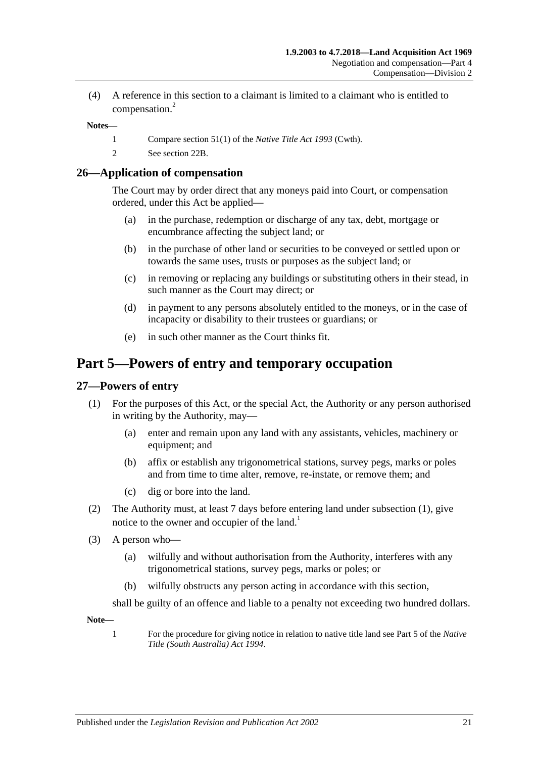(4) A reference in this section to a claimant is limited to a claimant who is entitled to compensation.<sup>2</sup>

#### **Notes—**

- 1 Compare section 51(1) of the *Native Title Act 1993* (Cwth).
- 2 See [section](#page-16-1) 22B.

#### <span id="page-20-0"></span>**26—Application of compensation**

The Court may by order direct that any moneys paid into Court, or compensation ordered, under this Act be applied—

- (a) in the purchase, redemption or discharge of any tax, debt, mortgage or encumbrance affecting the subject land; or
- (b) in the purchase of other land or securities to be conveyed or settled upon or towards the same uses, trusts or purposes as the subject land; or
- (c) in removing or replacing any buildings or substituting others in their stead, in such manner as the Court may direct; or
- (d) in payment to any persons absolutely entitled to the moneys, or in the case of incapacity or disability to their trustees or guardians; or
- (e) in such other manner as the Court thinks fit.

# <span id="page-20-1"></span>**Part 5—Powers of entry and temporary occupation**

#### <span id="page-20-3"></span><span id="page-20-2"></span>**27—Powers of entry**

- (1) For the purposes of this Act, or the special Act, the Authority or any person authorised in writing by the Authority, may—
	- (a) enter and remain upon any land with any assistants, vehicles, machinery or equipment; and
	- (b) affix or establish any trigonometrical stations, survey pegs, marks or poles and from time to time alter, remove, re-instate, or remove them; and
	- (c) dig or bore into the land.
- (2) The Authority must, at least 7 days before entering land under [subsection](#page-20-3) (1), give notice to the owner and occupier of the land.<sup>1</sup>
- (3) A person who—
	- (a) wilfully and without authorisation from the Authority, interferes with any trigonometrical stations, survey pegs, marks or poles; or
	- (b) wilfully obstructs any person acting in accordance with this section,

shall be guilty of an offence and liable to a penalty not exceeding two hundred dollars.

**Note—**

1 For the procedure for giving notice in relation to native title land see Part 5 of the *[Native](http://www.legislation.sa.gov.au/index.aspx?action=legref&type=act&legtitle=Native%20Title%20(South%20Australia)%20Act%201994)  [Title \(South Australia\) Act](http://www.legislation.sa.gov.au/index.aspx?action=legref&type=act&legtitle=Native%20Title%20(South%20Australia)%20Act%201994) 1994*.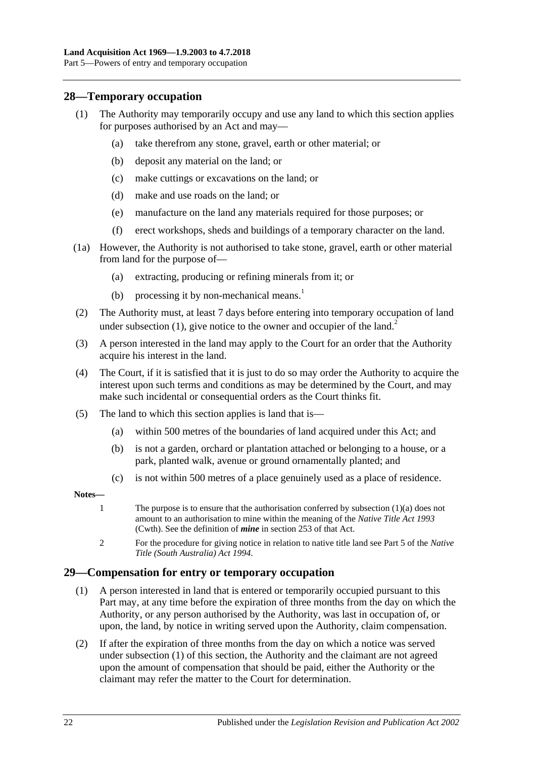#### <span id="page-21-2"></span><span id="page-21-0"></span>**28—Temporary occupation**

- <span id="page-21-3"></span>(1) The Authority may temporarily occupy and use any land to which this section applies for purposes authorised by an Act and may—
	- (a) take therefrom any stone, gravel, earth or other material; or
	- (b) deposit any material on the land; or
	- (c) make cuttings or excavations on the land; or
	- (d) make and use roads on the land; or
	- (e) manufacture on the land any materials required for those purposes; or
	- (f) erect workshops, sheds and buildings of a temporary character on the land.
- (1a) However, the Authority is not authorised to take stone, gravel, earth or other material from land for the purpose of—
	- (a) extracting, producing or refining minerals from it; or
	- (b) processing it by non-mechanical means.<sup>1</sup>
- (2) The Authority must, at least 7 days before entering into temporary occupation of land under [subsection](#page-21-2)  $(1)$ , give notice to the owner and occupier of the land.<sup>2</sup>
- (3) A person interested in the land may apply to the Court for an order that the Authority acquire his interest in the land.
- (4) The Court, if it is satisfied that it is just to do so may order the Authority to acquire the interest upon such terms and conditions as may be determined by the Court, and may make such incidental or consequential orders as the Court thinks fit.
- (5) The land to which this section applies is land that is—
	- (a) within 500 metres of the boundaries of land acquired under this Act; and
	- (b) is not a garden, orchard or plantation attached or belonging to a house, or a park, planted walk, avenue or ground ornamentally planted; and
	- (c) is not within 500 metres of a place genuinely used as a place of residence.

#### **Notes—**

- 1 The purpose is to ensure that the authorisation conferred by [subsection](#page-21-3) (1)(a) does not amount to an authorisation to mine within the meaning of the *Native Title Act 1993* (Cwth). See the definition of *mine* in section 253 of that Act.
- 2 For the procedure for giving notice in relation to native title land see Part 5 of the *[Native](http://www.legislation.sa.gov.au/index.aspx?action=legref&type=act&legtitle=Native%20Title%20(South%20Australia)%20Act%201994)  [Title \(South Australia\) Act](http://www.legislation.sa.gov.au/index.aspx?action=legref&type=act&legtitle=Native%20Title%20(South%20Australia)%20Act%201994) 1994*.

#### <span id="page-21-4"></span><span id="page-21-1"></span>**29—Compensation for entry or temporary occupation**

- (1) A person interested in land that is entered or temporarily occupied pursuant to this Part may, at any time before the expiration of three months from the day on which the Authority, or any person authorised by the Authority, was last in occupation of, or upon, the land, by notice in writing served upon the Authority, claim compensation.
- (2) If after the expiration of three months from the day on which a notice was served under [subsection](#page-21-4) (1) of this section, the Authority and the claimant are not agreed upon the amount of compensation that should be paid, either the Authority or the claimant may refer the matter to the Court for determination.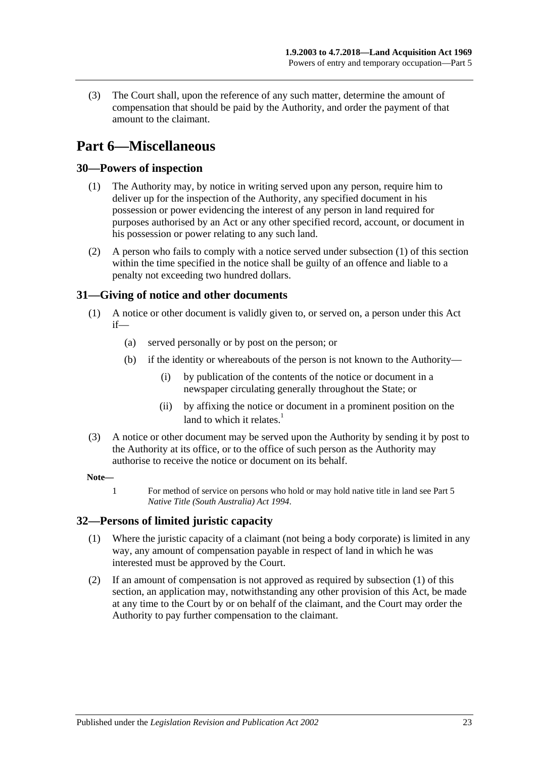(3) The Court shall, upon the reference of any such matter, determine the amount of compensation that should be paid by the Authority, and order the payment of that amount to the claimant.

# <span id="page-22-0"></span>**Part 6—Miscellaneous**

## <span id="page-22-4"></span><span id="page-22-1"></span>**30—Powers of inspection**

- (1) The Authority may, by notice in writing served upon any person, require him to deliver up for the inspection of the Authority, any specified document in his possession or power evidencing the interest of any person in land required for purposes authorised by an Act or any other specified record, account, or document in his possession or power relating to any such land.
- (2) A person who fails to comply with a notice served under [subsection](#page-22-4) (1) of this section within the time specified in the notice shall be guilty of an offence and liable to a penalty not exceeding two hundred dollars.

## <span id="page-22-2"></span>**31—Giving of notice and other documents**

- (1) A notice or other document is validly given to, or served on, a person under this Act if—
	- (a) served personally or by post on the person; or
	- (b) if the identity or whereabouts of the person is not known to the Authority—
		- (i) by publication of the contents of the notice or document in a newspaper circulating generally throughout the State; or
		- (ii) by affixing the notice or document in a prominent position on the land to which it relates. $1$
- (3) A notice or other document may be served upon the Authority by sending it by post to the Authority at its office, or to the office of such person as the Authority may authorise to receive the notice or document on its behalf.

#### **Note—**

1 For method of service on persons who hold or may hold native title in land see Part 5 *[Native Title \(South Australia\) Act](http://www.legislation.sa.gov.au/index.aspx?action=legref&type=act&legtitle=Native%20Title%20(South%20Australia)%20Act%201994) 1994*.

## <span id="page-22-5"></span><span id="page-22-3"></span>**32—Persons of limited juristic capacity**

- (1) Where the juristic capacity of a claimant (not being a body corporate) is limited in any way, any amount of compensation payable in respect of land in which he was interested must be approved by the Court.
- (2) If an amount of compensation is not approved as required by [subsection](#page-22-5) (1) of this section, an application may, notwithstanding any other provision of this Act, be made at any time to the Court by or on behalf of the claimant, and the Court may order the Authority to pay further compensation to the claimant.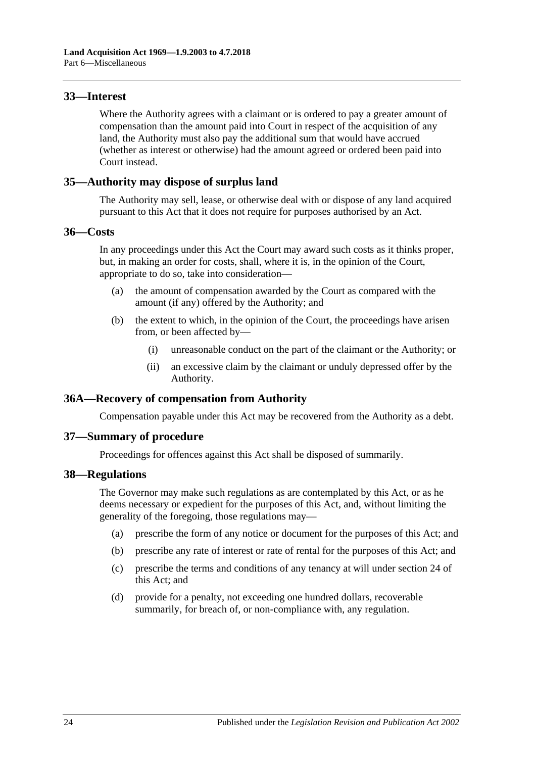#### <span id="page-23-0"></span>**33—Interest**

Where the Authority agrees with a claimant or is ordered to pay a greater amount of compensation than the amount paid into Court in respect of the acquisition of any land, the Authority must also pay the additional sum that would have accrued (whether as interest or otherwise) had the amount agreed or ordered been paid into Court instead.

#### <span id="page-23-1"></span>**35—Authority may dispose of surplus land**

The Authority may sell, lease, or otherwise deal with or dispose of any land acquired pursuant to this Act that it does not require for purposes authorised by an Act.

#### <span id="page-23-2"></span>**36—Costs**

In any proceedings under this Act the Court may award such costs as it thinks proper, but, in making an order for costs, shall, where it is, in the opinion of the Court, appropriate to do so, take into consideration—

- (a) the amount of compensation awarded by the Court as compared with the amount (if any) offered by the Authority; and
- (b) the extent to which, in the opinion of the Court, the proceedings have arisen from, or been affected by—
	- (i) unreasonable conduct on the part of the claimant or the Authority; or
	- (ii) an excessive claim by the claimant or unduly depressed offer by the Authority.

## <span id="page-23-3"></span>**36A—Recovery of compensation from Authority**

Compensation payable under this Act may be recovered from the Authority as a debt.

## <span id="page-23-4"></span>**37—Summary of procedure**

Proceedings for offences against this Act shall be disposed of summarily.

#### <span id="page-23-5"></span>**38—Regulations**

The Governor may make such regulations as are contemplated by this Act, or as he deems necessary or expedient for the purposes of this Act, and, without limiting the generality of the foregoing, those regulations may—

- (a) prescribe the form of any notice or document for the purposes of this Act; and
- (b) prescribe any rate of interest or rate of rental for the purposes of this Act; and
- (c) prescribe the terms and conditions of any tenancy at will under [section](#page-18-0) 24 of this Act; and
- (d) provide for a penalty, not exceeding one hundred dollars, recoverable summarily, for breach of, or non-compliance with, any regulation.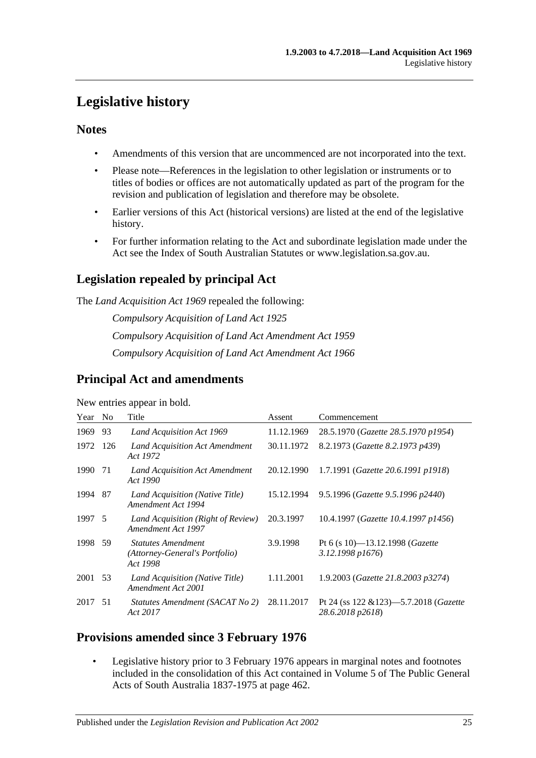# <span id="page-24-0"></span>**Legislative history**

## **Notes**

- Amendments of this version that are uncommenced are not incorporated into the text.
- Please note—References in the legislation to other legislation or instruments or to titles of bodies or offices are not automatically updated as part of the program for the revision and publication of legislation and therefore may be obsolete.
- Earlier versions of this Act (historical versions) are listed at the end of the legislative history.
- For further information relating to the Act and subordinate legislation made under the Act see the Index of South Australian Statutes or www.legislation.sa.gov.au.

# **Legislation repealed by principal Act**

The *Land Acquisition Act 1969* repealed the following:

*Compulsory Acquisition of Land Act 1925 Compulsory Acquisition of Land Act Amendment Act 1959 Compulsory Acquisition of Land Act Amendment Act 1966*

# **Principal Act and amendments**

New entries appear in bold.

| Year    | N <sub>o</sub> | Title                                                                   | Assent     | Commencement                                                           |
|---------|----------------|-------------------------------------------------------------------------|------------|------------------------------------------------------------------------|
| 1969    | 93             | Land Acquisition Act 1969                                               | 11.12.1969 | 28.5.1970 (Gazette 28.5.1970 p1954)                                    |
| 1972    | 126            | Land Acquisition Act Amendment<br>Act 1972                              | 30.11.1972 | 8.2.1973 (Gazette 8.2.1973 p439)                                       |
| 1990    | 71             | Land Acquisition Act Amendment<br>Act 1990                              | 20.12.1990 | 1.7.1991 (Gazette 20.6.1991 p1918)                                     |
| 1994    | - 87           | Land Acquisition (Native Title)<br>Amendment Act 1994                   | 15.12.1994 | 9.5.1996 (Gazette 9.5.1996 p2440)                                      |
| 1997 5  |                | Land Acquisition (Right of Review)<br>Amendment Act 1997                | 20.3.1997  | 10.4.1997 (Gazette 10.4.1997 p1456)                                    |
| 1998 59 |                | <b>Statutes Amendment</b><br>(Attorney-General's Portfolio)<br>Act 1998 | 3.9.1998   | Pt 6 (s 10)-13.12.1998 ( <i>Gazette</i><br>3.12.1998 p1676)            |
| 2001    | -53            | Land Acquisition (Native Title)<br>Amendment Act 2001                   | 1.11.2001  | 1.9.2003 ( <i>Gazette 21.8.2003 p3274</i> )                            |
| 2017 51 |                | Statutes Amendment (SACAT No 2)<br>Act 2017                             | 28.11.2017 | Pt 24 (ss $122 \& 123$ )-5.7.2018 ( <i>Gazette</i><br>28.6.2018 p2618) |

## **Provisions amended since 3 February 1976**

Legislative history prior to 3 February 1976 appears in marginal notes and footnotes included in the consolidation of this Act contained in Volume 5 of The Public General Acts of South Australia 1837-1975 at page 462.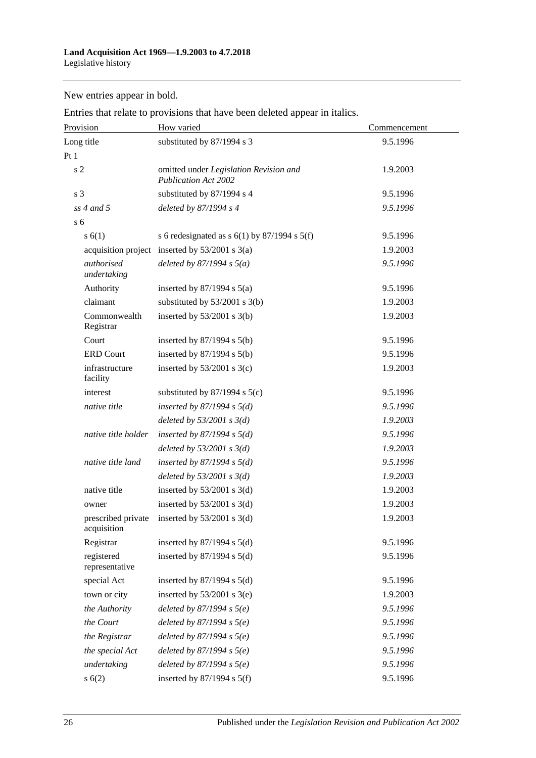New entries appear in bold.

Entries that relate to provisions that have been deleted appear in italics.

| Provision                         | How varied                                                            | Commencement |
|-----------------------------------|-----------------------------------------------------------------------|--------------|
| Long title                        | substituted by 87/1994 s 3                                            | 9.5.1996     |
| Pt1                               |                                                                       |              |
| s <sub>2</sub>                    | omitted under Legislation Revision and<br><b>Publication Act 2002</b> | 1.9.2003     |
| s <sub>3</sub>                    | substituted by 87/1994 s 4                                            | 9.5.1996     |
| $ss$ 4 and 5                      | deleted by 87/1994 s 4                                                | 9.5.1996     |
| s <sub>6</sub>                    |                                                                       |              |
| s(6(1))                           | s 6 redesignated as $s$ 6(1) by 87/1994 s 5(f)                        | 9.5.1996     |
|                                   | acquisition project inserted by $53/2001$ s $3(a)$                    | 1.9.2003     |
| authorised<br>undertaking         | deleted by $87/1994 s 5(a)$                                           | 9.5.1996     |
| Authority                         | inserted by $87/1994$ s $5(a)$                                        | 9.5.1996     |
| claimant                          | substituted by $53/2001$ s 3(b)                                       | 1.9.2003     |
| Commonwealth<br>Registrar         | inserted by $53/2001$ s 3(b)                                          | 1.9.2003     |
| Court                             | inserted by $87/1994$ s $5(b)$                                        | 9.5.1996     |
| <b>ERD Court</b>                  | inserted by $87/1994$ s $5(b)$                                        | 9.5.1996     |
| infrastructure<br>facility        | inserted by $53/2001$ s 3(c)                                          | 1.9.2003     |
| interest                          | substituted by $87/1994$ s $5(c)$                                     | 9.5.1996     |
| native title                      | inserted by $87/1994$ s $5(d)$                                        | 9.5.1996     |
|                                   | deleted by $53/2001$ s $3(d)$                                         | 1.9.2003     |
| native title holder               | inserted by $87/1994$ s $5(d)$                                        | 9.5.1996     |
|                                   | deleted by $53/2001$ s $3(d)$                                         | 1.9.2003     |
| native title land                 | inserted by $87/1994$ s $5(d)$                                        | 9.5.1996     |
|                                   | deleted by $53/2001$ s $3(d)$                                         | 1.9.2003     |
| native title                      | inserted by $53/2001$ s 3(d)                                          | 1.9.2003     |
| owner                             | inserted by $53/2001$ s 3(d)                                          | 1.9.2003     |
| prescribed private<br>acquisition | inserted by $53/2001$ s 3(d)                                          | 1.9.2003     |
| Registrar                         | inserted by $87/1994$ s $5(d)$                                        | 9.5.1996     |
| registered<br>representative      | inserted by $87/1994$ s $5(d)$                                        | 9.5.1996     |
| special Act                       | inserted by $87/1994$ s $5(d)$                                        | 9.5.1996     |
| town or city                      | inserted by $53/2001$ s 3(e)                                          | 1.9.2003     |
| the Authority                     | deleted by $87/1994 s 5(e)$                                           | 9.5.1996     |
| the Court                         | deleted by $87/1994 s 5(e)$                                           | 9.5.1996     |
| the Registrar                     | deleted by $87/1994 s 5(e)$                                           | 9.5.1996     |
| the special Act                   | deleted by $87/1994 s 5(e)$                                           | 9.5.1996     |
| undertaking                       | deleted by $87/1994 s 5(e)$                                           | 9.5.1996     |
| s(6(2))                           | inserted by $87/1994$ s $5(f)$                                        | 9.5.1996     |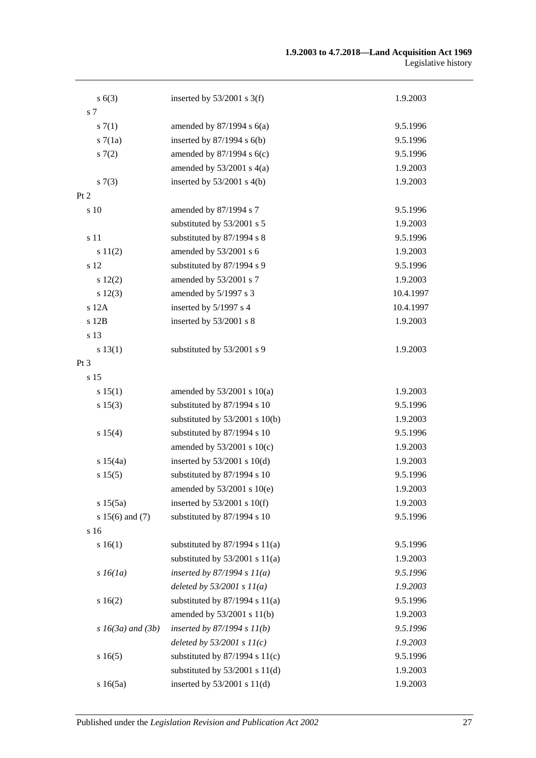#### **1.9.2003 to 4.7.2018—Land Acquisition Act 1969** Legislative history

| s(6(3))                | inserted by $53/2001$ s 3(f)       | 1.9.2003  |
|------------------------|------------------------------------|-----------|
| s 7                    |                                    |           |
| s(7(1))                | amended by $87/1994$ s $6(a)$      | 9.5.1996  |
| s7(1a)                 | inserted by $87/1994$ s $6(b)$     | 9.5.1996  |
| s(7(2)                 | amended by 87/1994 s 6(c)          | 9.5.1996  |
|                        | amended by $53/2001$ s $4(a)$      | 1.9.2003  |
| s(7(3))                | inserted by $53/2001$ s 4(b)       | 1.9.2003  |
| Pt 2                   |                                    |           |
| s 10                   | amended by 87/1994 s 7             | 9.5.1996  |
|                        | substituted by 53/2001 s 5         | 1.9.2003  |
| s 11                   | substituted by 87/1994 s 8         | 9.5.1996  |
| s 11(2)                | amended by 53/2001 s 6             | 1.9.2003  |
| s 12                   | substituted by 87/1994 s 9         | 9.5.1996  |
| 12(2)                  | amended by 53/2001 s 7             | 1.9.2003  |
| s 12(3)                | amended by 5/1997 s 3              | 10.4.1997 |
| s 12A                  | inserted by 5/1997 s 4             | 10.4.1997 |
| s 12B                  | inserted by 53/2001 s 8            | 1.9.2003  |
| s 13                   |                                    |           |
| s 13(1)                | substituted by 53/2001 s 9         | 1.9.2003  |
| Pt 3                   |                                    |           |
| s 15                   |                                    |           |
| s 15(1)                | amended by $53/2001$ s $10(a)$     | 1.9.2003  |
| s 15(3)                | substituted by 87/1994 s 10        | 9.5.1996  |
|                        | substituted by $53/2001$ s $10(b)$ | 1.9.2003  |
| s 15(4)                | substituted by 87/1994 s 10        | 9.5.1996  |
|                        | amended by $53/2001$ s $10(c)$     | 1.9.2003  |
| s 15(4a)               | inserted by $53/2001$ s $10(d)$    | 1.9.2003  |
| s 15(5)                | substituted by 87/1994 s 10        | 9.5.1996  |
|                        | amended by 53/2001 s 10(e)         | 1.9.2003  |
| s 15(5a)               | inserted by $53/2001$ s $10(f)$    | 1.9.2003  |
| s 15(6) and (7)        | substituted by 87/1994 s 10        | 9.5.1996  |
| s 16                   |                                    |           |
| s 16(1)                | substituted by $87/1994$ s $11(a)$ | 9.5.1996  |
|                        | substituted by $53/2001$ s $11(a)$ | 1.9.2003  |
| $s\,16(1a)$            | inserted by $87/1994 s 11(a)$      | 9.5.1996  |
|                        | deleted by $53/2001 s 11(a)$       | 1.9.2003  |
| s 16(2)                | substituted by $87/1994$ s $11(a)$ | 9.5.1996  |
|                        | amended by 53/2001 s 11(b)         | 1.9.2003  |
| $s\,16(3a)$ and $(3b)$ | inserted by $87/1994 s 11(b)$      | 9.5.1996  |
|                        | deleted by $53/2001$ s $11(c)$     | 1.9.2003  |
| s16(5)                 | substituted by $87/1994$ s $11(c)$ | 9.5.1996  |
|                        | substituted by $53/2001$ s $11(d)$ | 1.9.2003  |
| s16(5a)                | inserted by 53/2001 s 11(d)        | 1.9.2003  |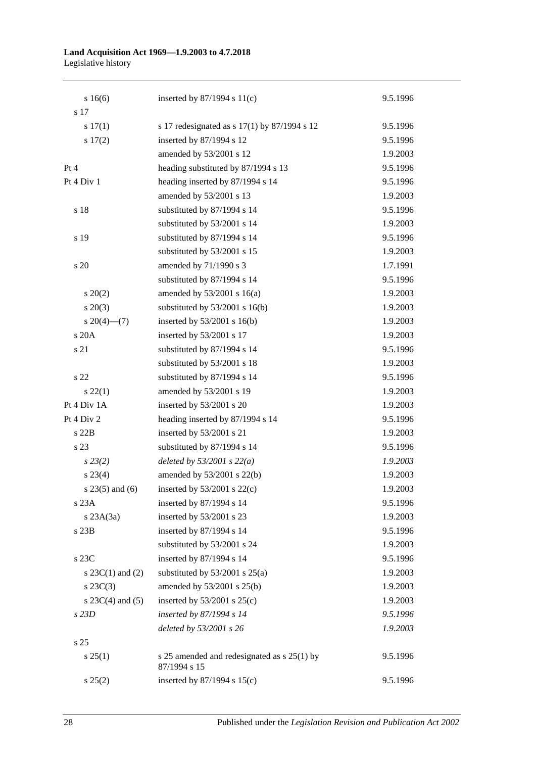#### **Land Acquisition Act 1969—1.9.2003 to 4.7.2018** Legislative history

| s 16(6)              | inserted by $87/1994$ s $11(c)$                             | 9.5.1996 |
|----------------------|-------------------------------------------------------------|----------|
| s 17                 |                                                             |          |
| s 17(1)              | s 17 redesignated as s 17(1) by 87/1994 s 12                | 9.5.1996 |
| s 17(2)              | inserted by 87/1994 s 12                                    | 9.5.1996 |
|                      | amended by 53/2001 s 12                                     | 1.9.2003 |
| Pt 4                 | heading substituted by 87/1994 s 13                         | 9.5.1996 |
| Pt 4 Div 1           | heading inserted by 87/1994 s 14                            | 9.5.1996 |
|                      | amended by 53/2001 s 13                                     | 1.9.2003 |
| s 18                 | substituted by 87/1994 s 14                                 | 9.5.1996 |
|                      | substituted by 53/2001 s 14                                 | 1.9.2003 |
| s 19                 | substituted by 87/1994 s 14                                 | 9.5.1996 |
|                      | substituted by 53/2001 s 15                                 | 1.9.2003 |
| s 20                 | amended by 71/1990 s 3                                      | 1.7.1991 |
|                      | substituted by 87/1994 s 14                                 | 9.5.1996 |
| $s \ 20(2)$          | amended by $53/2001$ s $16(a)$                              | 1.9.2003 |
| $s\ 20(3)$           | substituted by 53/2001 s 16(b)                              | 1.9.2003 |
| $s \ 20(4)$ (7)      | inserted by $53/2001$ s $16(b)$                             | 1.9.2003 |
| s 20A                | inserted by 53/2001 s 17                                    | 1.9.2003 |
| s 21                 | substituted by 87/1994 s 14                                 | 9.5.1996 |
|                      | substituted by 53/2001 s 18                                 | 1.9.2003 |
| s 22                 | substituted by 87/1994 s 14                                 | 9.5.1996 |
| $s\,22(1)$           | amended by 53/2001 s 19                                     | 1.9.2003 |
| Pt 4 Div 1A          | inserted by 53/2001 s 20                                    | 1.9.2003 |
| Pt 4 Div 2           | heading inserted by 87/1994 s 14                            | 9.5.1996 |
| s 22B                | inserted by 53/2001 s 21                                    | 1.9.2003 |
| s 23                 | substituted by 87/1994 s 14                                 | 9.5.1996 |
| $s\,23(2)$           | deleted by $53/2001$ s $22(a)$                              | 1.9.2003 |
| $s\,23(4)$           | amended by 53/2001 s 22(b)                                  | 1.9.2003 |
| $s$ 23(5) and (6)    | inserted by $53/2001$ s $22(c)$                             | 1.9.2003 |
| s 23A                | inserted by 87/1994 s 14                                    | 9.5.1996 |
| $s$ 23A $(3a)$       | inserted by 53/2001 s 23                                    | 1.9.2003 |
| s 23B                | inserted by 87/1994 s 14                                    | 9.5.1996 |
|                      | substituted by 53/2001 s 24                                 | 1.9.2003 |
| s 23C                | inserted by 87/1994 s 14                                    | 9.5.1996 |
| s $23C(1)$ and $(2)$ | substituted by $53/2001$ s $25(a)$                          | 1.9.2003 |
| $s\,23C(3)$          | amended by 53/2001 s 25(b)                                  | 1.9.2003 |
| s $23C(4)$ and $(5)$ | inserted by $53/2001$ s $25(c)$                             | 1.9.2003 |
| s23D                 | inserted by 87/1994 s 14                                    | 9.5.1996 |
|                      | deleted by 53/2001 s 26                                     | 1.9.2003 |
| s <sub>25</sub>      |                                                             |          |
| s 25(1)              | s 25 amended and redesignated as s 25(1) by<br>87/1994 s 15 | 9.5.1996 |
| s 25(2)              | inserted by $87/1994$ s $15(c)$                             | 9.5.1996 |